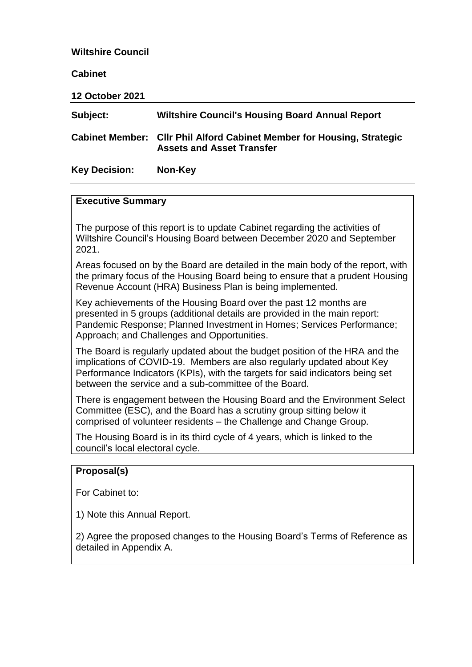#### **Wiltshire Council**

**Cabinet**

| <b>12 October 2021</b> |                                                                                                            |
|------------------------|------------------------------------------------------------------------------------------------------------|
| Subject:               | <b>Wiltshire Council's Housing Board Annual Report</b>                                                     |
|                        | Cabinet Member: Cllr Phil Alford Cabinet Member for Housing, Strategic<br><b>Assets and Asset Transfer</b> |

# **Executive Summary**

**Key Decision: Non-Key**

The purpose of this report is to update Cabinet regarding the activities of Wiltshire Council's Housing Board between December 2020 and September 2021.

Areas focused on by the Board are detailed in the main body of the report, with the primary focus of the Housing Board being to ensure that a prudent Housing Revenue Account (HRA) Business Plan is being implemented.

Key achievements of the Housing Board over the past 12 months are presented in 5 groups (additional details are provided in the main report: Pandemic Response; Planned Investment in Homes; Services Performance; Approach; and Challenges and Opportunities.

The Board is regularly updated about the budget position of the HRA and the implications of COVID-19. Members are also regularly updated about Key Performance Indicators (KPIs), with the targets for said indicators being set between the service and a sub-committee of the Board.

There is engagement between the Housing Board and the Environment Select Committee (ESC), and the Board has a scrutiny group sitting below it comprised of volunteer residents – the Challenge and Change Group.

The Housing Board is in its third cycle of 4 years, which is linked to the council's local electoral cycle.

#### **Proposal(s)**

For Cabinet to:

1) Note this Annual Report.

2) Agree the proposed changes to the Housing Board's Terms of Reference as detailed in Appendix A.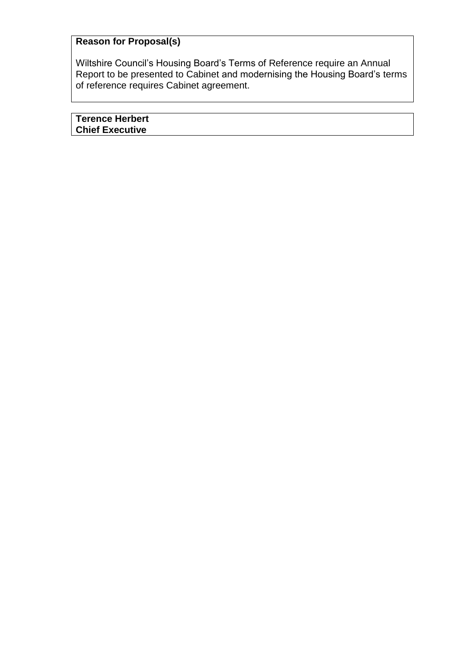# **Reason for Proposal(s)**

Wiltshire Council's Housing Board's Terms of Reference require an Annual Report to be presented to Cabinet and modernising the Housing Board's terms of reference requires Cabinet agreement.

**Terence Herbert Chief Executive**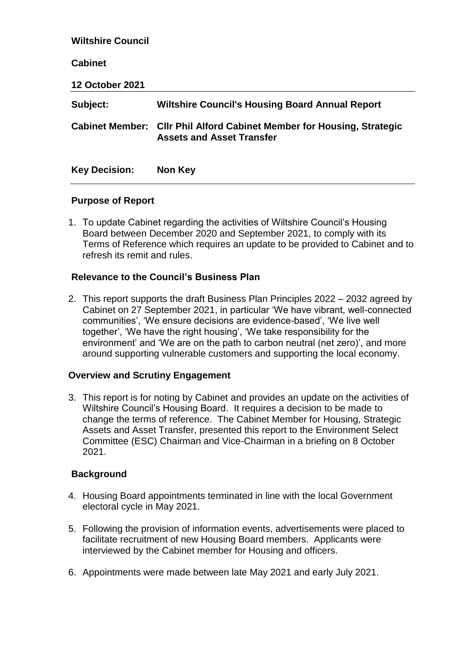| <b>Wiltshire Council</b> |                                                                                                                   |
|--------------------------|-------------------------------------------------------------------------------------------------------------------|
| <b>Cabinet</b>           |                                                                                                                   |
| <b>12 October 2021</b>   |                                                                                                                   |
| Subject:                 | <b>Wiltshire Council's Housing Board Annual Report</b>                                                            |
|                          | <b>Cabinet Member: Cllr Phil Alford Cabinet Member for Housing, Strategic</b><br><b>Assets and Asset Transfer</b> |
| <b>Key Decision:</b>     | Non Key                                                                                                           |

#### **Purpose of Report**

1. To update Cabinet regarding the activities of Wiltshire Council's Housing Board between December 2020 and September 2021, to comply with its Terms of Reference which requires an update to be provided to Cabinet and to refresh its remit and rules.

#### **Relevance to the Council's Business Plan**

2. This report supports the draft Business Plan Principles 2022 – 2032 agreed by Cabinet on 27 September 2021, in particular 'We have vibrant, well-connected communities', 'We ensure decisions are evidence-based', 'We live well together', 'We have the right housing', 'We take responsibility for the environment' and 'We are on the path to carbon neutral (net zero)', and more around supporting vulnerable customers and supporting the local economy.

#### **Overview and Scrutiny Engagement**

3. This report is for noting by Cabinet and provides an update on the activities of Wiltshire Council's Housing Board. It requires a decision to be made to change the terms of reference. The Cabinet Member for Housing, Strategic Assets and Asset Transfer, presented this report to the Environment Select Committee (ESC) Chairman and Vice-Chairman in a briefing on 8 October 2021.

#### **Background**

- 4. Housing Board appointments terminated in line with the local Government electoral cycle in May 2021.
- 5. Following the provision of information events, advertisements were placed to facilitate recruitment of new Housing Board members. Applicants were interviewed by the Cabinet member for Housing and officers.
- 6. Appointments were made between late May 2021 and early July 2021.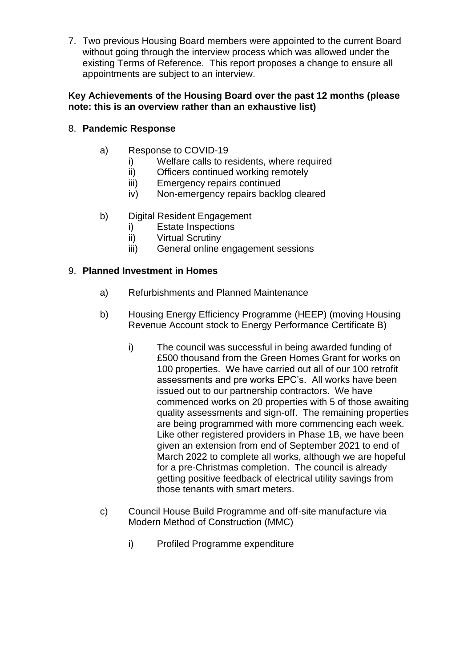7. Two previous Housing Board members were appointed to the current Board without going through the interview process which was allowed under the existing Terms of Reference. This report proposes a change to ensure all appointments are subject to an interview.

#### **Key Achievements of the Housing Board over the past 12 months (please note: this is an overview rather than an exhaustive list)**

# 8. **Pandemic Response**

- a) Response to COVID-19
	- i) Welfare calls to residents, where required
	- ii) Officers continued working remotely
	- iii) Emergency repairs continued
	- iv) Non-emergency repairs backlog cleared
- b) Digital Resident Engagement
	- i) Estate Inspections
	- ii) Virtual Scrutiny
	- iii) General online engagement sessions

#### 9. **Planned Investment in Homes**

- a) Refurbishments and Planned Maintenance
- b) Housing Energy Efficiency Programme (HEEP) (moving Housing Revenue Account stock to Energy Performance Certificate B)
	- i) The council was successful in being awarded funding of £500 thousand from the Green Homes Grant for works on 100 properties. We have carried out all of our 100 retrofit assessments and pre works EPC's. All works have been issued out to our partnership contractors. We have commenced works on 20 properties with 5 of those awaiting quality assessments and sign-off. The remaining properties are being programmed with more commencing each week. Like other registered providers in Phase 1B, we have been given an extension from end of September 2021 to end of March 2022 to complete all works, although we are hopeful for a pre-Christmas completion. The council is already getting positive feedback of electrical utility savings from those tenants with smart meters.
- c) Council House Build Programme and off-site manufacture via Modern Method of Construction (MMC)
	- i) Profiled Programme expenditure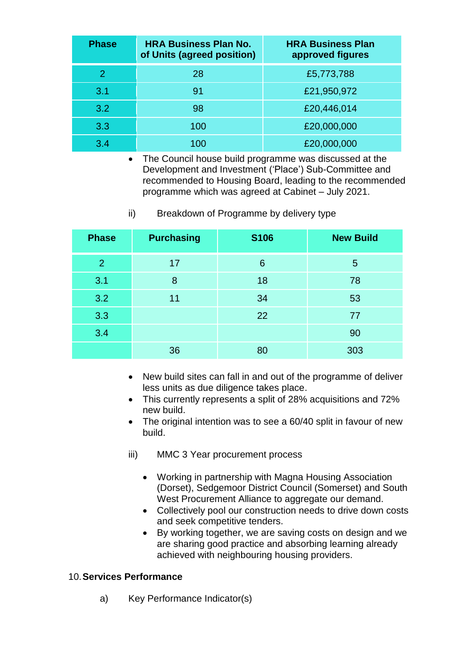| <b>Phase</b> | <b>HRA Business Plan No.</b><br>of Units (agreed position) | <b>HRA Business Plan</b><br>approved figures |
|--------------|------------------------------------------------------------|----------------------------------------------|
| 2            | 28                                                         | £5,773,788                                   |
| 3.1          | 91                                                         | £21,950,972                                  |
| 3.2          | 98                                                         | £20,446,014                                  |
| 3.3          | 100                                                        | £20,000,000                                  |
| 3.4          | 100                                                        | £20,000,000                                  |

• The Council house build programme was discussed at the Development and Investment ('Place') Sub-Committee and recommended to Housing Board, leading to the recommended programme which was agreed at Cabinet – July 2021.

ii) Breakdown of Programme by delivery type

| <b>Phase</b>   | <b>Purchasing</b> | <b>S106</b> | <b>New Build</b> |
|----------------|-------------------|-------------|------------------|
| $\overline{2}$ | 17                | 6           | 5                |
| 3.1            | 8                 | 18          | 78               |
| 3.2            | 11                | 34          | 53               |
| 3.3            |                   | 22          | 77               |
| 3.4            |                   |             | 90               |
|                | 36                | 80          | 303              |

- New build sites can fall in and out of the programme of deliver less units as due diligence takes place.
- This currently represents a split of 28% acquisitions and 72% new build.
- The original intention was to see a 60/40 split in favour of new build.
- iii) MMC 3 Year procurement process
	- Working in partnership with Magna Housing Association (Dorset), Sedgemoor District Council (Somerset) and South West Procurement Alliance to aggregate our demand.
	- Collectively pool our construction needs to drive down costs and seek competitive tenders.
	- By working together, we are saving costs on design and we are sharing good practice and absorbing learning already achieved with neighbouring housing providers.

#### 10.**Services Performance**

a) Key Performance Indicator(s)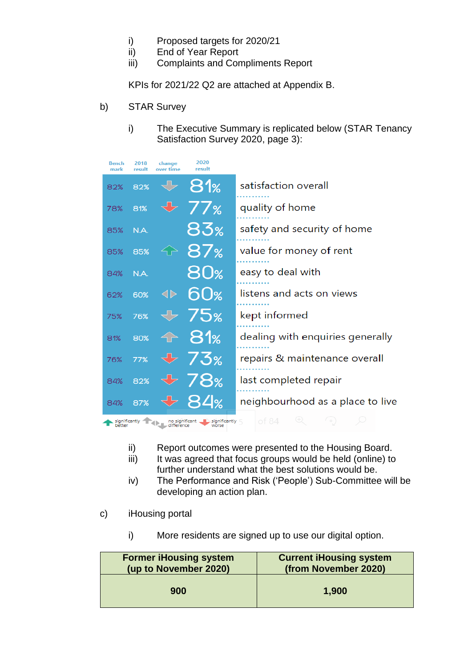- i) Proposed targets for 2020/21
- ii) End of Year Report
- iii) Complaints and Compliments Report

KPIs for 2021/22 Q2 are attached at Appendix B.

- b) STAR Survey
	- i) The Executive Summary is replicated below (STAR Tenancy Satisfaction Survey 2020, page 3):

| <b>Bench</b><br>mark                                                       | 2018<br>result | change<br>over time | 2020<br>result                                                                                   |                                  |  |  |  |  |  |
|----------------------------------------------------------------------------|----------------|---------------------|--------------------------------------------------------------------------------------------------|----------------------------------|--|--|--|--|--|
| 82%                                                                        | 82%            |                     | $\begin{array}{cc} \begin{array}{cc} \Downarrow & \mathbf{81}\mathbb{w} \end{array} \end{array}$ | satisfaction overall             |  |  |  |  |  |
| 78%                                                                        | 81%            |                     | $\overline{U}$ 77%                                                                               | quality of home                  |  |  |  |  |  |
| 85%                                                                        | N.A.           |                     | 83%                                                                                              | safety and security of home      |  |  |  |  |  |
| 85%                                                                        | 85%            |                     | <b>↑ 87%</b>                                                                                     | value for money of rent          |  |  |  |  |  |
| 84%                                                                        | N.A.           |                     | $80\%$                                                                                           | easy to deal with                |  |  |  |  |  |
| 62%                                                                        | 60%            | $\blacklozenge$     | 60 <sub>%</sub>                                                                                  | listens and acts on views        |  |  |  |  |  |
| 75%                                                                        | 76%            |                     | $\div$ 75%                                                                                       | kept informed                    |  |  |  |  |  |
| 81%                                                                        | 80%            |                     | <b>↑ 81%</b>                                                                                     | dealing with enquiries generally |  |  |  |  |  |
| 76%                                                                        | 77%            |                     | $\overline{v}$ 73%                                                                               | repairs & maintenance overall    |  |  |  |  |  |
| 84%                                                                        | 82%            |                     | $+ 78$ %                                                                                         | last completed repair            |  |  |  |  |  |
| 84%                                                                        | 87%            |                     | <b>← 84%</b>                                                                                     | neighbourhood as a place to live |  |  |  |  |  |
| of 84<br>significantly<br>no significant.<br>, significantly $\sqsubseteq$ |                |                     |                                                                                                  |                                  |  |  |  |  |  |

- ii) Report outcomes were presented to the Housing Board.
- iii) It was agreed that focus groups would be held (online) to further understand what the best solutions would be.
- iv) The Performance and Risk ('People') Sub-Committee will be developing an action plan.
- c) iHousing portal
	- i) More residents are signed up to use our digital option.

| <b>Former iHousing system</b> | <b>Current iHousing system</b> |
|-------------------------------|--------------------------------|
| (up to November 2020)         | (from November 2020)           |
| 900                           | 1,900                          |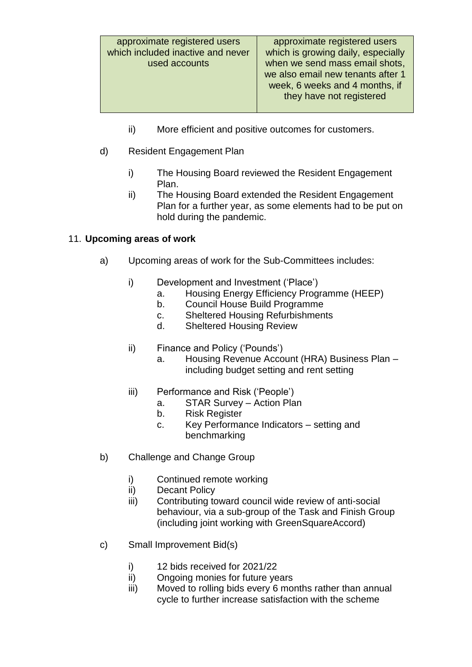- ii) More efficient and positive outcomes for customers.
- d) Resident Engagement Plan
	- i) The Housing Board reviewed the Resident Engagement Plan.
	- ii) The Housing Board extended the Resident Engagement Plan for a further year, as some elements had to be put on hold during the pandemic.

# 11. **Upcoming areas of work**

- a) Upcoming areas of work for the Sub-Committees includes:
	- i) Development and Investment ('Place')
		- a. Housing Energy Efficiency Programme (HEEP)
		- b. Council House Build Programme
		- c. Sheltered Housing Refurbishments
		- d. Sheltered Housing Review
	- ii) Finance and Policy ('Pounds')
		- a. Housing Revenue Account (HRA) Business Plan including budget setting and rent setting
	- iii) Performance and Risk ('People')
		- a. STAR Survey Action Plan
		- b. Risk Register
		- c. Key Performance Indicators setting and benchmarking
- b) Challenge and Change Group
	- i) Continued remote working
	- ii) Decant Policy
	- iii) Contributing toward council wide review of anti-social behaviour, via a sub-group of the Task and Finish Group (including joint working with GreenSquareAccord)
- c) Small Improvement Bid(s)
	- i) 12 bids received for 2021/22
	- ii) Ongoing monies for future years
	- iii) Moved to rolling bids every 6 months rather than annual cycle to further increase satisfaction with the scheme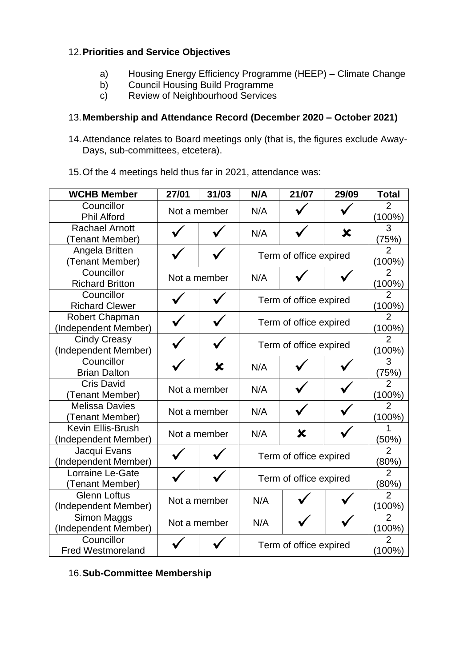## 12.**Priorities and Service Objectives**

- a) Housing Energy Efficiency Programme (HEEP) Climate Change<br>b) Council Housing Build Programme
- Council Housing Build Programme
- c) Review of Neighbourhood Services

# 13.**Membership and Attendance Record (December 2020 – October 2021)**

- 14.Attendance relates to Board meetings only (that is, the figures exclude Away-Days, sub-committees, etcetera).
- 15.Of the 4 meetings held thus far in 2021, attendance was:

| <b>WCHB Member</b>                          | 27/01        | 31/03 | N/A                    | 21/07                  | 29/09 | <b>Total</b>                |
|---------------------------------------------|--------------|-------|------------------------|------------------------|-------|-----------------------------|
| Councillor<br><b>Phil Alford</b>            | Not a member |       | N/A                    |                        |       | $\overline{2}$<br>$(100\%)$ |
| <b>Rachael Arnott</b><br>(Tenant Member)    |              |       | N/A                    |                        | X     | 3<br>(75%)                  |
| Angela Britten<br>(Tenant Member)           |              |       | Term of office expired |                        |       | $\overline{2}$<br>$(100\%)$ |
| Councillor<br><b>Richard Britton</b>        | Not a member |       | N/A                    |                        |       | 2<br>(100%)                 |
| Councillor<br><b>Richard Clewer</b>         |              |       |                        | Term of office expired |       | $\overline{2}$<br>(100%)    |
| Robert Chapman<br>(Independent Member)      |              |       | Term of office expired |                        |       | $\overline{2}$<br>$(100\%)$ |
| <b>Cindy Creasy</b><br>(Independent Member) |              |       | Term of office expired |                        |       | $\overline{2}$<br>(100%)    |
| Councillor<br><b>Brian Dalton</b>           |              | X     | N/A                    |                        |       | 3<br>(75%)                  |
| <b>Cris David</b><br>(Tenant Member)        | Not a member |       | N/A                    |                        |       | $\overline{2}$<br>(100%)    |
| <b>Melissa Davies</b><br>(Tenant Member)    | Not a member |       | N/A                    |                        |       | $\overline{2}$<br>$(100\%)$ |
| Kevin Ellis-Brush<br>(Independent Member)   | Not a member |       | N/A                    | X                      |       | 1<br>(50%)                  |
| Jacqui Evans<br>(Independent Member)        |              |       | Term of office expired |                        |       | $\overline{2}$<br>(80%)     |
| Lorraine Le-Gate<br>(Tenant Member)         |              |       | Term of office expired |                        |       | $\overline{2}$<br>(80%)     |
| <b>Glenn Loftus</b><br>(Independent Member) | Not a member |       | N/A                    |                        |       | $\overline{2}$<br>$(100\%)$ |
| Simon Maggs<br>(Independent Member)         | Not a member |       | N/A                    |                        |       | $\overline{2}$<br>(100%)    |
| Councillor<br><b>Fred Westmoreland</b>      |              |       |                        | Term of office expired |       | $\overline{2}$<br>$(100\%)$ |

# 16.**Sub-Committee Membership**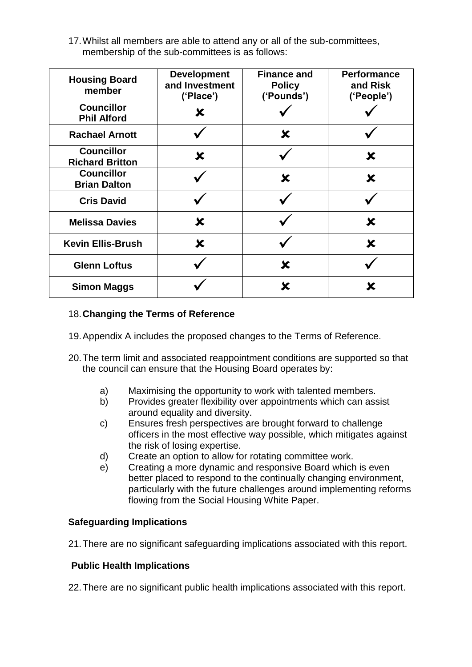17.Whilst all members are able to attend any or all of the sub-committees, membership of the sub-committees is as follows:

| <b>Housing Board</b><br>member              | <b>Development</b><br>and Investment<br>('Place') | <b>Finance and</b><br><b>Policy</b><br>('Pounds') | <b>Performance</b><br>and Risk<br>('People') |
|---------------------------------------------|---------------------------------------------------|---------------------------------------------------|----------------------------------------------|
| <b>Councillor</b><br><b>Phil Alford</b>     | X                                                 |                                                   |                                              |
| <b>Rachael Arnott</b>                       |                                                   | X                                                 |                                              |
| <b>Councillor</b><br><b>Richard Britton</b> | X                                                 |                                                   | X                                            |
| <b>Councillor</b><br><b>Brian Dalton</b>    |                                                   | X                                                 | ×                                            |
| <b>Cris David</b>                           |                                                   |                                                   |                                              |
| <b>Melissa Davies</b>                       | X                                                 |                                                   | X                                            |
| <b>Kevin Ellis-Brush</b>                    | $\boldsymbol{\mathsf{x}}$                         |                                                   | X                                            |
| <b>Glenn Loftus</b>                         |                                                   | X                                                 |                                              |
| <b>Simon Maggs</b>                          |                                                   |                                                   |                                              |

## 18.**Changing the Terms of Reference**

- 19.Appendix A includes the proposed changes to the Terms of Reference.
- 20.The term limit and associated reappointment conditions are supported so that the council can ensure that the Housing Board operates by:
	- a) Maximising the opportunity to work with talented members.
	- b) Provides greater flexibility over appointments which can assist around equality and diversity.
	- c) Ensures fresh perspectives are brought forward to challenge officers in the most effective way possible, which mitigates against the risk of losing expertise.
	- d) Create an option to allow for rotating committee work.
	- e) Creating a more dynamic and responsive Board which is even better placed to respond to the continually changing environment, particularly with the future challenges around implementing reforms flowing from the Social Housing White Paper.

## **Safeguarding Implications**

21.There are no significant safeguarding implications associated with this report.

## **Public Health Implications**

22.There are no significant public health implications associated with this report.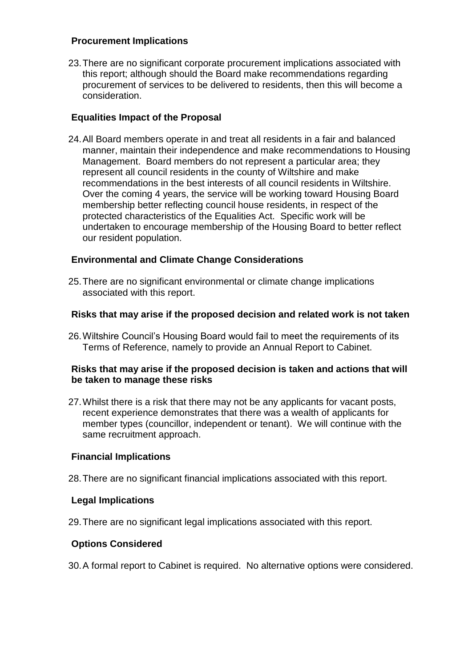#### **Procurement Implications**

23.There are no significant corporate procurement implications associated with this report; although should the Board make recommendations regarding procurement of services to be delivered to residents, then this will become a consideration.

## **Equalities Impact of the Proposal**

24.All Board members operate in and treat all residents in a fair and balanced manner, maintain their independence and make recommendations to Housing Management. Board members do not represent a particular area; they represent all council residents in the county of Wiltshire and make recommendations in the best interests of all council residents in Wiltshire. Over the coming 4 years, the service will be working toward Housing Board membership better reflecting council house residents, in respect of the protected characteristics of the Equalities Act. Specific work will be undertaken to encourage membership of the Housing Board to better reflect our resident population.

# **Environmental and Climate Change Considerations**

25.There are no significant environmental or climate change implications associated with this report.

## **Risks that may arise if the proposed decision and related work is not taken**

26.Wiltshire Council's Housing Board would fail to meet the requirements of its Terms of Reference, namely to provide an Annual Report to Cabinet.

#### **Risks that may arise if the proposed decision is taken and actions that will be taken to manage these risks**

27.Whilst there is a risk that there may not be any applicants for vacant posts, recent experience demonstrates that there was a wealth of applicants for member types (councillor, independent or tenant). We will continue with the same recruitment approach.

## **Financial Implications**

28.There are no significant financial implications associated with this report.

## **Legal Implications**

29.There are no significant legal implications associated with this report.

## **Options Considered**

30.A formal report to Cabinet is required. No alternative options were considered.